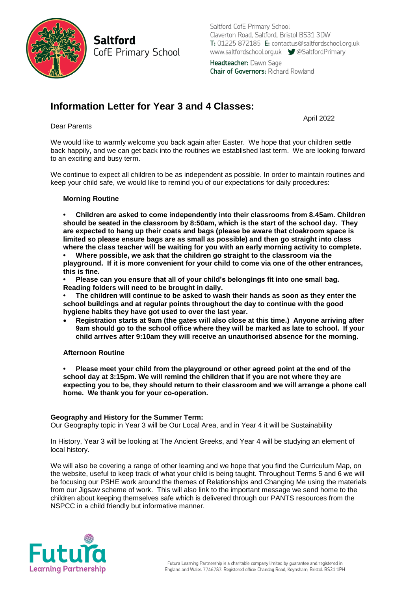

**Saltford** CofE Primary School Saltford CofE Primary School Claverton Road, Saltford, Bristol BS31 3DW T: 01225 872185 E: contactus@saltfordschool.org.uk www.saltfordschool.org.uk (@SaltfordPrimary Headteacher: Dawn Sage **Chair of Governors: Richard Rowland** 

# **Information Letter for Year 3 and 4 Classes:**

April 2022

## Dear Parents

We would like to warmly welcome you back again after Easter. We hope that your children settle back happily, and we can get back into the routines we established last term. We are looking forward to an exciting and busy term.

We continue to expect all children to be as independent as possible. In order to maintain routines and keep your child safe, we would like to remind you of our expectations for daily procedures:

## **Morning Routine**

**• Children are asked to come independently into their classrooms from 8.45am. Children should be seated in the classroom by 8:50am, which is the start of the school day. They are expected to hang up their coats and bags (please be aware that cloakroom space is limited so please ensure bags are as small as possible) and then go straight into class where the class teacher will be waiting for you with an early morning activity to complete.** 

**• Where possible, we ask that the children go straight to the classroom via the playground. If it is more convenient for your child to come via one of the other entrances, this is fine.** 

**• Please can you ensure that all of your child's belongings fit into one small bag. Reading folders will need to be brought in daily.** 

**• The children will continue to be asked to wash their hands as soon as they enter the school buildings and at regular points throughout the day to continue with the good hygiene habits they have got used to over the last year.** 

 **Registration starts at 9am (the gates will also close at this time.) Anyone arriving after 9am should go to the school office where they will be marked as late to school. If your child arrives after 9:10am they will receive an unauthorised absence for the morning.**

### **Afternoon Routine**

**• Please meet your child from the playground or other agreed point at the end of the school day at 3:15pm. We will remind the children that if you are not where they are expecting you to be, they should return to their classroom and we will arrange a phone call home. We thank you for your co-operation.**

### **Geography and History for the Summer Term:**

Our Geography topic in Year 3 will be Our Local Area, and in Year 4 it will be Sustainability

In History, Year 3 will be looking at The Ancient Greeks, and Year 4 will be studying an element of local history.

We will also be covering a range of other learning and we hope that you find the Curriculum Map, on the website, useful to keep track of what your child is being taught. Throughout Terms 5 and 6 we will be focusing our PSHE work around the themes of Relationships and Changing Me using the materials from our Jigsaw scheme of work. This will also link to the important message we send home to the children about keeping themselves safe which is delivered through our PANTS resources from the NSPCC in a child friendly but informative manner.

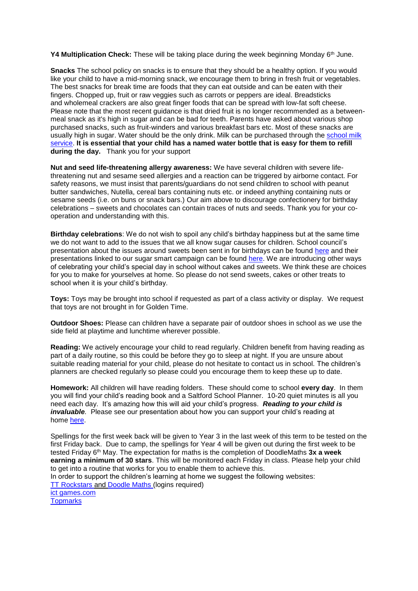Y4 Multiplication Check: These will be taking place during the week beginning Monday 6<sup>th</sup> June.

**Snacks** The school policy on snacks is to ensure that they should be a healthy option. If you would like your child to have a mid-morning snack, we encourage them to bring in fresh fruit or vegetables. The best snacks for break time are foods that they can eat outside and can be eaten with their fingers. Chopped up, fruit or raw veggies such as carrots or peppers are ideal. Breadsticks and wholemeal crackers are also great finger foods that can be spread with low-fat soft cheese. Please note that the most recent guidance is that dried fruit is no longer recommended as a betweenmeal snack as it's high in sugar and can be bad for teeth. Parents have asked about various shop purchased snacks, such as fruit-winders and various breakfast bars etc. Most of these snacks are usually high in sugar. Water should be the only drink. Milk can be purchased through the school milk [service.](http://www.saltfordschool.org.uk/assets/uploads/documents/office/General%20Parent%20Letter%20Milk%20Feb%202018.pdf) **It is essential that your child has a named water bottle that is easy for them to refill during the day.** Thank you for your support

**Nut and seed life-threatening allergy awareness:** We have several children with severe lifethreatening nut and sesame seed allergies and a reaction can be triggered by airborne contact. For safety reasons, we must insist that parents/guardians do not send children to school with peanut butter sandwiches, Nutella, cereal bars containing nuts etc. or indeed anything containing nuts or sesame seeds (i.e. on buns or snack bars.) Our aim above to discourage confectionery for birthday celebrations – sweets and chocolates can contain traces of nuts and seeds. Thank you for your cooperation and understanding with this.

**Birthday celebrations**: We do not wish to spoil any child's birthday happiness but at the same time we do not want to add to the issues that we all know sugar causes for children. School council's presentation about the issues around sweets been sent in for birthdays can be found [here](https://www.saltfordschool.org.uk/assets/uploads/documents/children/Healthy%20eating.pdf) and their presentations linked to our sugar smart campaign can be found [here.](https://www.saltfordschool.org.uk/assets/uploads/images/children/Sugar%20Smart%20Assembly%201%20-%20Saltford%20School.pdf) We are introducing other ways of celebrating your child's special day in school without cakes and sweets. We think these are choices for you to make for yourselves at home. So please do not send sweets, cakes or other treats to school when it is your child's birthday.

**Toys:** Toys may be brought into school if requested as part of a class activity or display. We request that toys are not brought in for Golden Time.

**Outdoor Shoes:** Please can children have a separate pair of outdoor shoes in school as we use the side field at playtime and lunchtime wherever possible.

**Reading:** We actively encourage your child to read regularly. Children benefit from having reading as part of a daily routine, so this could be before they go to sleep at night. If you are unsure about suitable reading material for your child, please do not hesitate to contact us in school. The children's planners are checked regularly so please could you encourage them to keep these up to date.

**Homework:** All children will have reading folders. These should come to school **every day**. In them you will find your child's reading book and a Saltford School Planner. 10-20 quiet minutes is all you need each day. It's amazing how this will aid your child's progress. *Reading to your child is invaluable.* Please see our presentation about how you can support your child's reading at home [here.](https://www.saltfordschool.org.uk/assets/uploads/documents/curriculum/english/Reading%20at%20Saltford%20School.pdf)

Spellings for the first week back will be given to Year 3 in the last week of this term to be tested on the first Friday back. Due to camp, the spellings for Year 4 will be given out during the first week to be tested Friday 6th May. The expectation for maths is the completion of DoodleMaths **3x a week earning a minimum of 30 stars**. This will be monitored each Friday in class. Please help your child to get into a routine that works for you to enable them to achieve this.

In order to support the children's learning at home we suggest the following websites: [TT Rockstars](https://play.ttrockstars.com/auth/school/student) and [Doodle Maths](https://www.doodlemaths.com/students/) (logins required)

[ict games.com](http://www.ictgames.com/) **[Topmarks](https://www.topmarks.co.uk/)**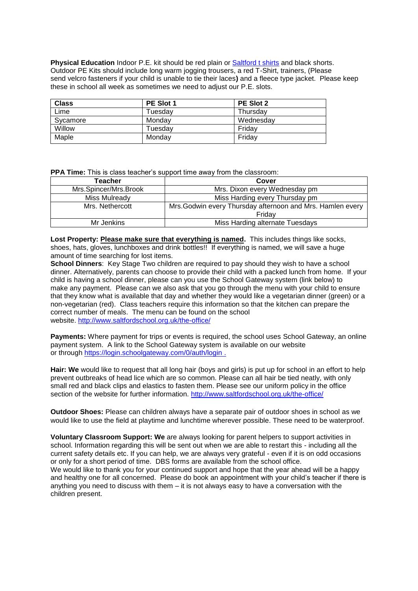**Physical Education** Indoor P.E. kit should be red plain or [Saltford t shirts](https://www.saltfordschool.org.uk/the-office/) and black shorts. Outdoor PE Kits should include long warm jogging trousers, a red T-Shirt, trainers, (Please send velcro fasteners if your child is unable to tie their laces**)** and a fleece type jacket. Please keep these in school all week as sometimes we need to adjust our P.E. slots.

| <b>Class</b> | PE Slot 1 | PE Slot 2 |
|--------------|-----------|-----------|
| Lime         | Tuesdav   | Thursday  |
| Sycamore     | Mondav    | Wednesday |
| Willow       | Tuesday   | Fridav    |
| Maple        | Monday    | Friday    |

**PPA Time:** This is class teacher's support time away from the classroom:

| Teacher               | Cover                                                      |  |
|-----------------------|------------------------------------------------------------|--|
| Mrs.Spincer/Mrs.Brook | Mrs. Dixon every Wednesday pm                              |  |
| Miss Mulready         | Miss Harding every Thursday pm                             |  |
| Mrs. Nethercott       | Mrs. Godwin every Thursday afternoon and Mrs. Hamlen every |  |
|                       | Fridav                                                     |  |
| Mr Jenkins            | Miss Harding alternate Tuesdays                            |  |

**Lost Property: Please make sure that everything is named.** This includes things like socks, shoes, hats, gloves, lunchboxes and drink bottles!! If everything is named, we will save a huge amount of time searching for lost items.

**School Dinners**: Key Stage Two children are required to pay should they wish to have a school dinner. Alternatively, parents can choose to provide their child with a packed lunch from home. If your child is having a school dinner, please can you use the School Gateway system (link below) to make any payment. Please can we also ask that you go through the menu with your child to ensure that they know what is available that day and whether they would like a vegetarian dinner (green) or a non-vegetarian (red). Class teachers require this information so that the kitchen can prepare the correct number of meals. The menu can be found on the school website. <http://www.saltfordschool.org.uk/the-office/>

**Payments:** Where payment for trips or events is required, the school uses School Gateway, an online payment system. A link to the School Gateway system is available on our website or through <https://login.schoolgateway.com/0/auth/login> .

**Hair: We** would like to request that all long hair (boys and girls) is put up for school in an effort to help prevent outbreaks of head lice which are so common. Please can all hair be tied neatly, with only small red and black clips and elastics to fasten them. Please see our uniform policy in the office section of the website for further information. <http://www.saltfordschool.org.uk/the-office/>

**Outdoor Shoes:** Please can children always have a separate pair of outdoor shoes in school as we would like to use the field at playtime and lunchtime wherever possible. These need to be waterproof.

**Voluntary Classroom Support: We** are always looking for parent helpers to support activities in school. Information regarding this will be sent out when we are able to restart this - including all the current safety details etc. If you can help, we are always very grateful - even if it is on odd occasions or only for a short period of time. DBS forms are available from the school office. We would like to thank you for your continued support and hope that the year ahead will be a happy and healthy one for all concerned. Please do book an appointment with your child's teacher if there is anything you need to discuss with them  $-$  it is not always easy to have a conversation with the children present.